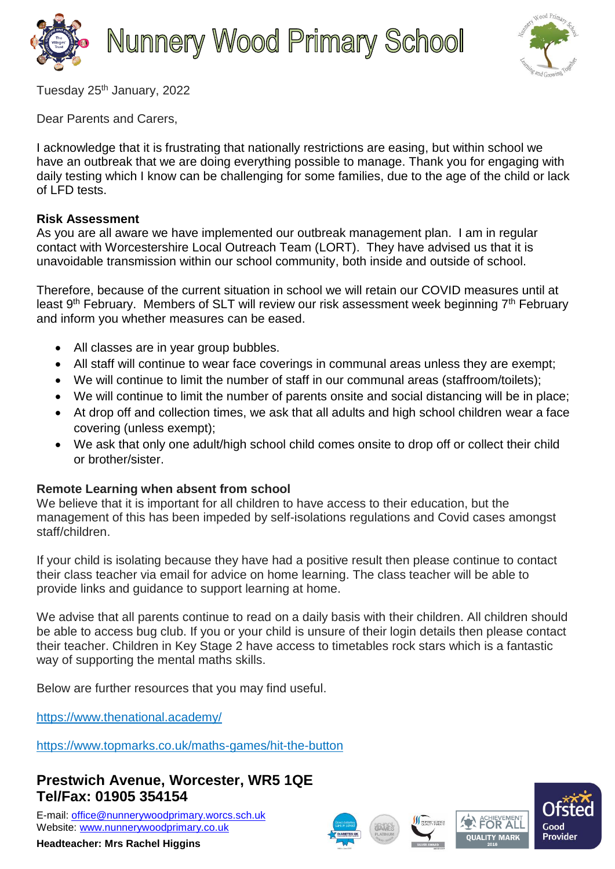



Tuesday 25<sup>th</sup> January, 2022

Dear Parents and Carers,

I acknowledge that it is frustrating that nationally restrictions are easing, but within school we have an outbreak that we are doing everything possible to manage. Thank you for engaging with daily testing which I know can be challenging for some families, due to the age of the child or lack of LFD tests.

## **Risk Assessment**

As you are all aware we have implemented our outbreak management plan. I am in regular contact with Worcestershire Local Outreach Team (LORT). They have advised us that it is unavoidable transmission within our school community, both inside and outside of school.

Therefore, because of the current situation in school we will retain our COVID measures until at least 9<sup>th</sup> February. Members of SLT will review our risk assessment week beginning 7<sup>th</sup> February and inform you whether measures can be eased.

- All classes are in year group bubbles.
- All staff will continue to wear face coverings in communal areas unless they are exempt;
- We will continue to limit the number of staff in our communal areas (staffroom/toilets);
- We will continue to limit the number of parents onsite and social distancing will be in place;
- At drop off and collection times, we ask that all adults and high school children wear a face covering (unless exempt);
- We ask that only one adult/high school child comes onsite to drop off or collect their child or brother/sister.

## **Remote Learning when absent from school**

We believe that it is important for all children to have access to their education, but the management of this has been impeded by self-isolations regulations and Covid cases amongst staff/children.

If your child is isolating because they have had a positive result then please continue to contact their class teacher via email for advice on home learning. The class teacher will be able to provide links and guidance to support learning at home.

We advise that all parents continue to read on a daily basis with their children. All children should be able to access bug club. If you or your child is unsure of their login details then please contact their teacher. Children in Key Stage 2 have access to timetables rock stars which is a fantastic way of supporting the mental maths skills.

Below are further resources that you may find useful.

<https://www.thenational.academy/>

<https://www.topmarks.co.uk/maths-games/hit-the-button>

## **Prestwich Avenue, Worcester, WR5 1QE Tel/Fax: 01905 354154**

E-mail: [office@nunnerywoodprimary.worcs.sch.uk](mailto:office@nunnerywoodprimary.worcs.sch.uk) Website: [www.nunnerywoodprimary.co.uk](http://www.nunnerywoodprimary.worcs.sch.uk/)

**Headteacher: Mrs Rachel Higgins**